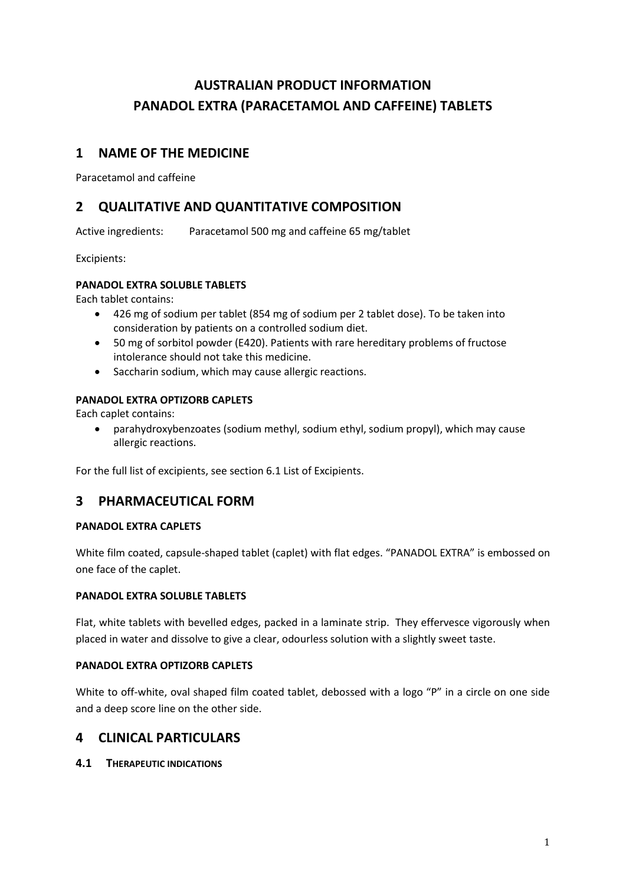# **AUSTRALIAN PRODUCT INFORMATION PANADOL EXTRA (PARACETAMOL AND CAFFEINE) TABLETS**

# **1 NAME OF THE MEDICINE**

Paracetamol and caffeine

# **2 QUALITATIVE AND QUANTITATIVE COMPOSITION**

Active ingredients: Paracetamol 500 mg and caffeine 65 mg/tablet

Excipients:

## **PANADOL EXTRA SOLUBLE TABLETS**

Each tablet contains:

- 426 mg of sodium per tablet (854 mg of sodium per 2 tablet dose). To be taken into consideration by patients on a controlled sodium diet.
- 50 mg of sorbitol powder (E420). Patients with rare hereditary problems of fructose intolerance should not take this medicine.
- Saccharin sodium, which may cause allergic reactions.

### **PANADOL EXTRA OPTIZORB CAPLETS**

Each caplet contains:

 parahydroxybenzoates (sodium methyl, sodium ethyl, sodium propyl), which may cause allergic reactions.

For the full list of excipients, see section 6.1 List of Excipients.

# **3 PHARMACEUTICAL FORM**

### **PANADOL EXTRA CAPLETS**

White film coated, capsule-shaped tablet (caplet) with flat edges. "PANADOL EXTRA" is embossed on one face of the caplet.

### **PANADOL EXTRA SOLUBLE TABLETS**

Flat, white tablets with bevelled edges, packed in a laminate strip. They effervesce vigorously when placed in water and dissolve to give a clear, odourless solution with a slightly sweet taste.

### **PANADOL EXTRA OPTIZORB CAPLETS**

White to off-white, oval shaped film coated tablet, debossed with a logo "P" in a circle on one side and a deep score line on the other side.

## **4 CLINICAL PARTICULARS**

**4.1 THERAPEUTIC INDICATIONS**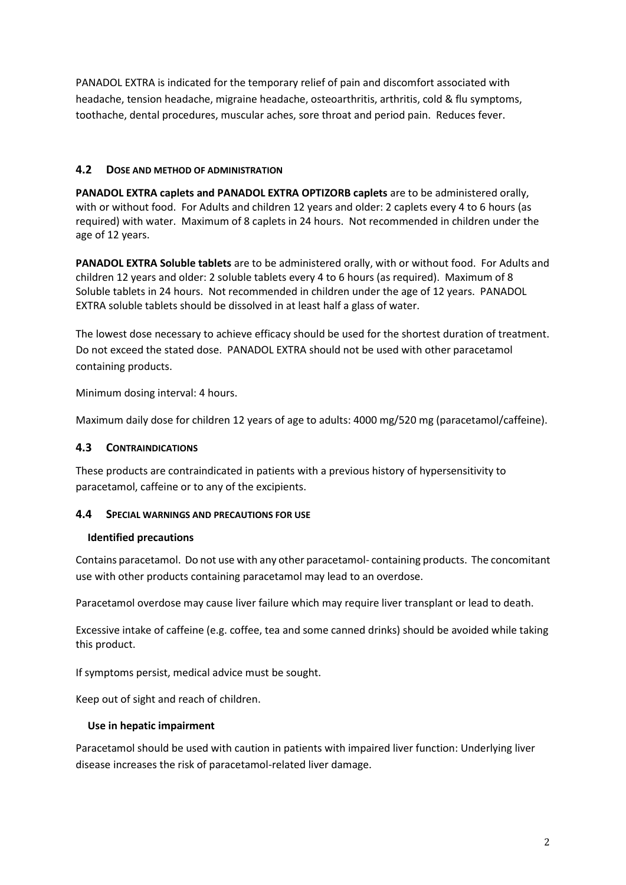PANADOL EXTRA is indicated for the temporary relief of pain and discomfort associated with headache, tension headache, migraine headache, osteoarthritis, arthritis, cold & flu symptoms, toothache, dental procedures, muscular aches, sore throat and period pain. Reduces fever.

### **4.2 DOSE AND METHOD OF ADMINISTRATION**

**PANADOL EXTRA caplets and PANADOL EXTRA OPTIZORB caplets** are to be administered orally, with or without food. For Adults and children 12 years and older: 2 caplets every 4 to 6 hours (as required) with water. Maximum of 8 caplets in 24 hours. Not recommended in children under the age of 12 years.

**PANADOL EXTRA Soluble tablets** are to be administered orally, with or without food. For Adults and children 12 years and older: 2 soluble tablets every 4 to 6 hours (as required). Maximum of 8 Soluble tablets in 24 hours. Not recommended in children under the age of 12 years. PANADOL EXTRA soluble tablets should be dissolved in at least half a glass of water.

The lowest dose necessary to achieve efficacy should be used for the shortest duration of treatment. Do not exceed the stated dose. PANADOL EXTRA should not be used with other paracetamol containing products.

Minimum dosing interval: 4 hours.

Maximum daily dose for children 12 years of age to adults: 4000 mg/520 mg (paracetamol/caffeine).

## **4.3 CONTRAINDICATIONS**

These products are contraindicated in patients with a previous history of hypersensitivity to paracetamol, caffeine or to any of the excipients.

### **4.4 SPECIAL WARNINGS AND PRECAUTIONS FOR USE**

### **Identified precautions**

Contains paracetamol. Do not use with any other paracetamol- containing products. The concomitant use with other products containing paracetamol may lead to an overdose.

Paracetamol overdose may cause liver failure which may require liver transplant or lead to death.

Excessive intake of caffeine (e.g. coffee, tea and some canned drinks) should be avoided while taking this product.

If symptoms persist, medical advice must be sought.

Keep out of sight and reach of children.

### **Use in hepatic impairment**

Paracetamol should be used with caution in patients with impaired liver function: Underlying liver disease increases the risk of paracetamol-related liver damage.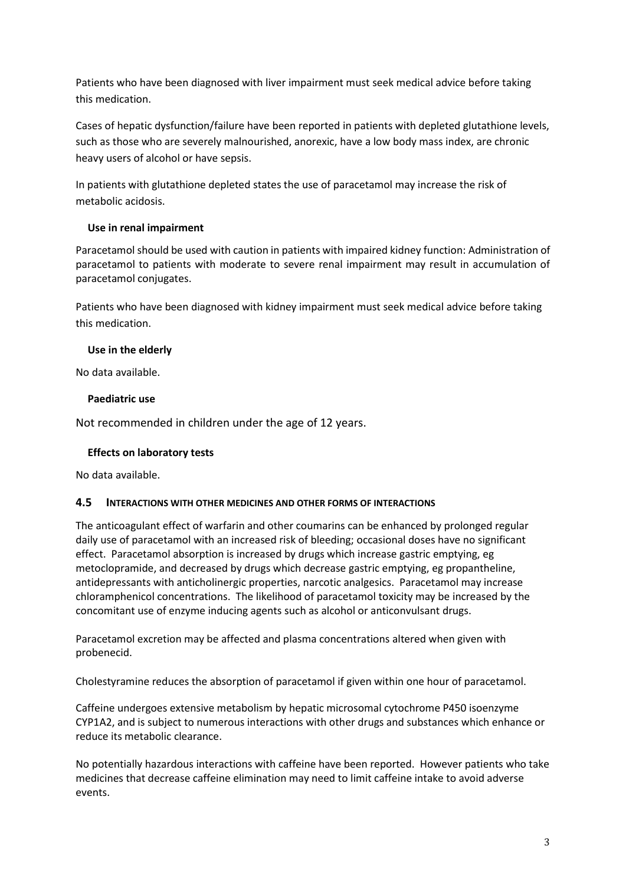Patients who have been diagnosed with liver impairment must seek medical advice before taking this medication.

Cases of hepatic dysfunction/failure have been reported in patients with depleted glutathione levels, such as those who are severely malnourished, anorexic, have a low body mass index, are chronic heavy users of alcohol or have sepsis.

In patients with glutathione depleted states the use of paracetamol may increase the risk of metabolic acidosis.

## **Use in renal impairment**

Paracetamol should be used with caution in patients with impaired kidney function: Administration of paracetamol to patients with moderate to severe renal impairment may result in accumulation of paracetamol conjugates.

Patients who have been diagnosed with kidney impairment must seek medical advice before taking this medication.

## **Use in the elderly**

No data available.

### **Paediatric use**

Not recommended in children under the age of 12 years.

### **Effects on laboratory tests**

No data available.

### **4.5 INTERACTIONS WITH OTHER MEDICINES AND OTHER FORMS OF INTERACTIONS**

The anticoagulant effect of warfarin and other coumarins can be enhanced by prolonged regular daily use of paracetamol with an increased risk of bleeding; occasional doses have no significant effect. Paracetamol absorption is increased by drugs which increase gastric emptying, eg metoclopramide, and decreased by drugs which decrease gastric emptying, eg propantheline, antidepressants with anticholinergic properties, narcotic analgesics. Paracetamol may increase chloramphenicol concentrations. The likelihood of paracetamol toxicity may be increased by the concomitant use of enzyme inducing agents such as alcohol or anticonvulsant drugs.

Paracetamol excretion may be affected and plasma concentrations altered when given with probenecid.

Cholestyramine reduces the absorption of paracetamol if given within one hour of paracetamol.

Caffeine undergoes extensive metabolism by hepatic microsomal cytochrome P450 isoenzyme CYP1A2, and is subject to numerous interactions with other drugs and substances which enhance or reduce its metabolic clearance.

No potentially hazardous interactions with caffeine have been reported. However patients who take medicines that decrease caffeine elimination may need to limit caffeine intake to avoid adverse events.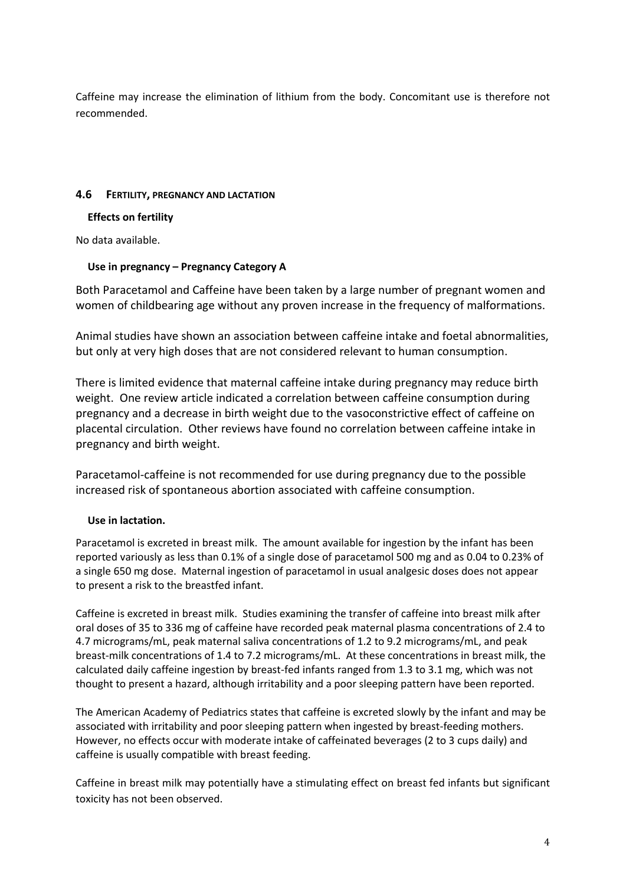Caffeine may increase the elimination of lithium from the body. Concomitant use is therefore not recommended.

### **4.6 FERTILITY, PREGNANCY AND LACTATION**

### **Effects on fertility**

No data available.

### **Use in pregnancy – Pregnancy Category A**

Both Paracetamol and Caffeine have been taken by a large number of pregnant women and women of childbearing age without any proven increase in the frequency of malformations.

Animal studies have shown an association between caffeine intake and foetal abnormalities, but only at very high doses that are not considered relevant to human consumption.

There is limited evidence that maternal caffeine intake during pregnancy may reduce birth weight. One review article indicated a correlation between caffeine consumption during pregnancy and a decrease in birth weight due to the vasoconstrictive effect of caffeine on placental circulation. Other reviews have found no correlation between caffeine intake in pregnancy and birth weight.

Paracetamol-caffeine is not recommended for use during pregnancy due to the possible increased risk of spontaneous abortion associated with caffeine consumption.

### **Use in lactation.**

Paracetamol is excreted in breast milk. The amount available for ingestion by the infant has been reported variously as less than 0.1% of a single dose of paracetamol 500 mg and as 0.04 to 0.23% of a single 650 mg dose. Maternal ingestion of paracetamol in usual analgesic doses does not appear to present a risk to the breastfed infant.

Caffeine is excreted in breast milk. Studies examining the transfer of caffeine into breast milk after oral doses of 35 to 336 mg of caffeine have recorded peak maternal plasma concentrations of 2.4 to 4.7 micrograms/mL, peak maternal saliva concentrations of 1.2 to 9.2 micrograms/mL, and peak breast-milk concentrations of 1.4 to 7.2 micrograms/mL. At these concentrations in breast milk, the calculated daily caffeine ingestion by breast-fed infants ranged from 1.3 to 3.1 mg, which was not thought to present a hazard, although irritability and a poor sleeping pattern have been reported.

The American Academy of Pediatrics states that caffeine is excreted slowly by the infant and may be associated with irritability and poor sleeping pattern when ingested by breast-feeding mothers. However, no effects occur with moderate intake of caffeinated beverages (2 to 3 cups daily) and caffeine is usually compatible with breast feeding.

Caffeine in breast milk may potentially have a stimulating effect on breast fed infants but significant toxicity has not been observed.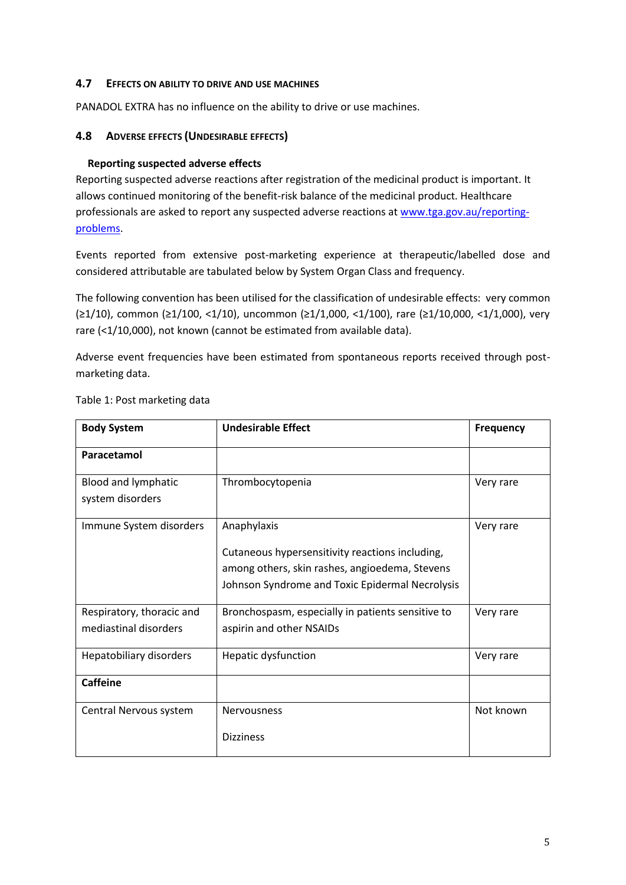### **4.7 EFFECTS ON ABILITY TO DRIVE AND USE MACHINES**

PANADOL EXTRA has no influence on the ability to drive or use machines.

### **4.8 ADVERSE EFFECTS (UNDESIRABLE EFFECTS)**

### **Reporting suspected adverse effects**

Reporting suspected adverse reactions after registration of the medicinal product is important. It allows continued monitoring of the benefit-risk balance of the medicinal product. Healthcare professionals are asked to report any suspected adverse reactions at [www.tga.gov.au/reporting](http://www.tga.gov.au/reporting-problems)[problems.](http://www.tga.gov.au/reporting-problems)

Events reported from extensive post-marketing experience at therapeutic/labelled dose and considered attributable are tabulated below by System Organ Class and frequency.

The following convention has been utilised for the classification of undesirable effects: very common (≥1/10), common (≥1/100, <1/10), uncommon (≥1/1,000, <1/100), rare (≥1/10,000, <1/1,000), very rare (<1/10,000), not known (cannot be estimated from available data).

Adverse event frequencies have been estimated from spontaneous reports received through postmarketing data.

| <b>Body System</b>                                 | <b>Undesirable Effect</b>                                                                                                                                           | <b>Frequency</b> |
|----------------------------------------------------|---------------------------------------------------------------------------------------------------------------------------------------------------------------------|------------------|
| Paracetamol                                        |                                                                                                                                                                     |                  |
| Blood and lymphatic<br>system disorders            | Thrombocytopenia                                                                                                                                                    | Very rare        |
| Immune System disorders                            | Anaphylaxis<br>Cutaneous hypersensitivity reactions including,<br>among others, skin rashes, angioedema, Stevens<br>Johnson Syndrome and Toxic Epidermal Necrolysis | Very rare        |
| Respiratory, thoracic and<br>mediastinal disorders | Bronchospasm, especially in patients sensitive to<br>aspirin and other NSAIDs                                                                                       | Very rare        |
| Hepatobiliary disorders                            | Hepatic dysfunction                                                                                                                                                 | Very rare        |
| <b>Caffeine</b>                                    |                                                                                                                                                                     |                  |
| Central Nervous system                             | <b>Nervousness</b><br><b>Dizziness</b>                                                                                                                              | Not known        |

### Table 1: Post marketing data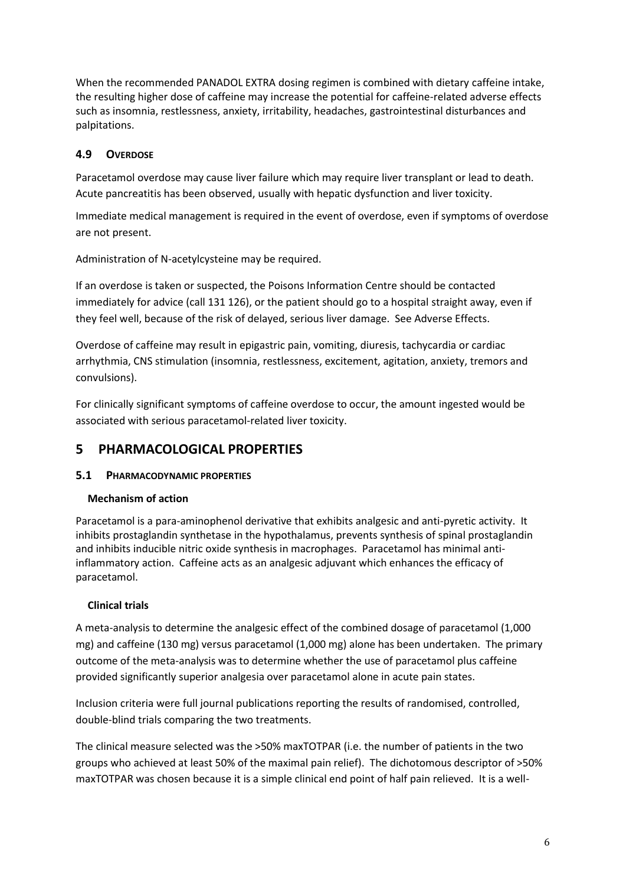When the recommended PANADOL EXTRA dosing regimen is combined with dietary caffeine intake, the resulting higher dose of caffeine may increase the potential for caffeine-related adverse effects such as insomnia, restlessness, anxiety, irritability, headaches, gastrointestinal disturbances and palpitations.

# **4.9 OVERDOSE**

Paracetamol overdose may cause liver failure which may require liver transplant or lead to death. Acute pancreatitis has been observed, usually with hepatic dysfunction and liver toxicity.

Immediate medical management is required in the event of overdose, even if symptoms of overdose are not present.

Administration of N-acetylcysteine may be required.

If an overdose is taken or suspected, the Poisons Information Centre should be contacted immediately for advice (call 131 126), or the patient should go to a hospital straight away, even if they feel well, because of the risk of delayed, serious liver damage. See Adverse Effects.

Overdose of caffeine may result in epigastric pain, vomiting, diuresis, tachycardia or cardiac arrhythmia, CNS stimulation (insomnia, restlessness, excitement, agitation, anxiety, tremors and convulsions).

For clinically significant symptoms of caffeine overdose to occur, the amount ingested would be associated with serious paracetamol-related liver toxicity.

# **5 PHARMACOLOGICAL PROPERTIES**

## **5.1 PHARMACODYNAMIC PROPERTIES**

### **Mechanism of action**

Paracetamol is a para-aminophenol derivative that exhibits analgesic and anti-pyretic activity. It inhibits prostaglandin synthetase in the hypothalamus, prevents synthesis of spinal prostaglandin and inhibits inducible nitric oxide synthesis in macrophages. Paracetamol has minimal antiinflammatory action. Caffeine acts as an analgesic adjuvant which enhances the efficacy of paracetamol.

## **Clinical trials**

A meta-analysis to determine the analgesic effect of the combined dosage of paracetamol (1,000 mg) and caffeine (130 mg) versus paracetamol (1,000 mg) alone has been undertaken. The primary outcome of the meta-analysis was to determine whether the use of paracetamol plus caffeine provided significantly superior analgesia over paracetamol alone in acute pain states.

Inclusion criteria were full journal publications reporting the results of randomised, controlled, double-blind trials comparing the two treatments.

The clinical measure selected was the >50% maxTOTPAR (i.e. the number of patients in the two groups who achieved at least 50% of the maximal pain relief). The dichotomous descriptor of >50% maxTOTPAR was chosen because it is a simple clinical end point of half pain relieved. It is a well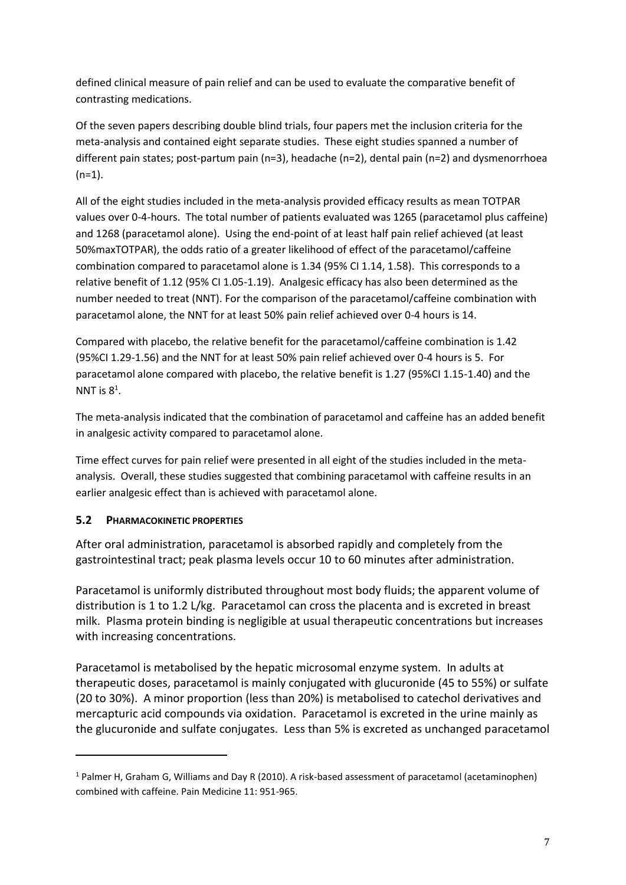defined clinical measure of pain relief and can be used to evaluate the comparative benefit of contrasting medications.

Of the seven papers describing double blind trials, four papers met the inclusion criteria for the meta-analysis and contained eight separate studies. These eight studies spanned a number of different pain states; post-partum pain (n=3), headache (n=2), dental pain (n=2) and dysmenorrhoea  $(n=1)$ .

All of the eight studies included in the meta-analysis provided efficacy results as mean TOTPAR values over 0-4-hours. The total number of patients evaluated was 1265 (paracetamol plus caffeine) and 1268 (paracetamol alone). Using the end-point of at least half pain relief achieved (at least 50%maxTOTPAR), the odds ratio of a greater likelihood of effect of the paracetamol/caffeine combination compared to paracetamol alone is 1.34 (95% CI 1.14, 1.58). This corresponds to a relative benefit of 1.12 (95% CI 1.05-1.19). Analgesic efficacy has also been determined as the number needed to treat (NNT). For the comparison of the paracetamol/caffeine combination with paracetamol alone, the NNT for at least 50% pain relief achieved over 0-4 hours is 14.

Compared with placebo, the relative benefit for the paracetamol/caffeine combination is 1.42 (95%CI 1.29-1.56) and the NNT for at least 50% pain relief achieved over 0-4 hours is 5. For paracetamol alone compared with placebo, the relative benefit is 1.27 (95%CI 1.15-1.40) and the NNT is  $8^1$ .

The meta-analysis indicated that the combination of paracetamol and caffeine has an added benefit in analgesic activity compared to paracetamol alone.

Time effect curves for pain relief were presented in all eight of the studies included in the metaanalysis. Overall, these studies suggested that combining paracetamol with caffeine results in an earlier analgesic effect than is achieved with paracetamol alone.

## **5.2 PHARMACOKINETIC PROPERTIES**

 $\overline{a}$ 

After oral administration, paracetamol is absorbed rapidly and completely from the gastrointestinal tract; peak plasma levels occur 10 to 60 minutes after administration.

Paracetamol is uniformly distributed throughout most body fluids; the apparent volume of distribution is 1 to 1.2 L/kg. Paracetamol can cross the placenta and is excreted in breast milk. Plasma protein binding is negligible at usual therapeutic concentrations but increases with increasing concentrations.

Paracetamol is metabolised by the hepatic microsomal enzyme system. In adults at therapeutic doses, paracetamol is mainly conjugated with glucuronide (45 to 55%) or sulfate (20 to 30%). A minor proportion (less than 20%) is metabolised to catechol derivatives and mercapturic acid compounds via oxidation. Paracetamol is excreted in the urine mainly as the glucuronide and sulfate conjugates. Less than 5% is excreted as unchanged paracetamol

 $1$  Palmer H, Graham G, Williams and Day R (2010). A risk-based assessment of paracetamol (acetaminophen) combined with caffeine. Pain Medicine 11: 951-965.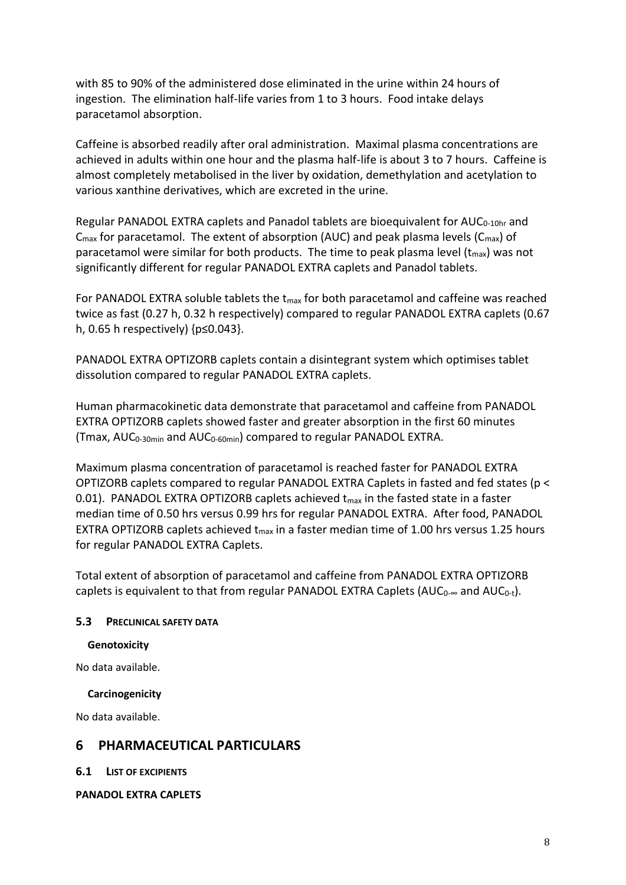with 85 to 90% of the administered dose eliminated in the urine within 24 hours of ingestion. The elimination half-life varies from 1 to 3 hours. Food intake delays paracetamol absorption.

Caffeine is absorbed readily after oral administration. Maximal plasma concentrations are achieved in adults within one hour and the plasma half-life is about 3 to 7 hours. Caffeine is almost completely metabolised in the liver by oxidation, demethylation and acetylation to various xanthine derivatives, which are excreted in the urine.

Regular PANADOL EXTRA caplets and Panadol tablets are bioequivalent for AUC<sub>0-10hr</sub> and  $C_{\text{max}}$  for paracetamol. The extent of absorption (AUC) and peak plasma levels ( $C_{\text{max}}$ ) of paracetamol were similar for both products. The time to peak plasma level  $(t_{max})$  was not significantly different for regular PANADOL EXTRA caplets and Panadol tablets.

For PANADOL EXTRA soluble tablets the  $t_{max}$  for both paracetamol and caffeine was reached twice as fast (0.27 h, 0.32 h respectively) compared to regular PANADOL EXTRA caplets (0.67 h, 0.65 h respectively) {p≤0.043}.

PANADOL EXTRA OPTIZORB caplets contain a disintegrant system which optimises tablet dissolution compared to regular PANADOL EXTRA caplets.

Human pharmacokinetic data demonstrate that paracetamol and caffeine from PANADOL EXTRA OPTIZORB caplets showed faster and greater absorption in the first 60 minutes (Tmax,  $AUC_{0-30min}$  and  $AUC_{0-60min}$ ) compared to regular PANADOL EXTRA.

Maximum plasma concentration of paracetamol is reached faster for PANADOL EXTRA OPTIZORB caplets compared to regular PANADOL EXTRA Caplets in fasted and fed states (p < 0.01). PANADOL EXTRA OPTIZORB caplets achieved  $t_{\text{max}}$  in the fasted state in a faster median time of 0.50 hrs versus 0.99 hrs for regular PANADOL EXTRA. After food, PANADOL EXTRA OPTIZORB caplets achieved  $t_{max}$  in a faster median time of 1.00 hrs versus 1.25 hours for regular PANADOL EXTRA Caplets.

Total extent of absorption of paracetamol and caffeine from PANADOL EXTRA OPTIZORB caplets is equivalent to that from regular PANADOL EXTRA Caplets ( $AUC_0$ - $\infty$  and  $AUC_{0-t}$ ).

### **5.3 PRECLINICAL SAFETY DATA**

#### **Genotoxicity**

No data available.

#### **Carcinogenicity**

No data available.

## **6 PHARMACEUTICAL PARTICULARS**

**6.1 LIST OF EXCIPIENTS** 

**PANADOL EXTRA CAPLETS**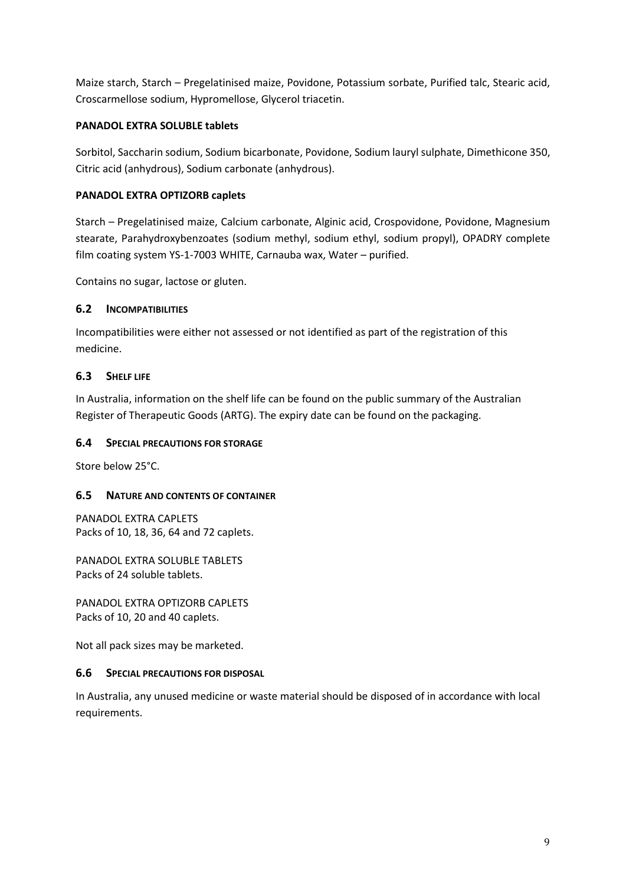Maize starch, Starch – Pregelatinised maize, Povidone, Potassium sorbate, Purified talc, Stearic acid, Croscarmellose sodium, Hypromellose, Glycerol triacetin.

### **PANADOL EXTRA SOLUBLE tablets**

Sorbitol, Saccharin sodium, Sodium bicarbonate, Povidone, Sodium lauryl sulphate, Dimethicone 350, Citric acid (anhydrous), Sodium carbonate (anhydrous).

## **PANADOL EXTRA OPTIZORB caplets**

Starch – Pregelatinised maize, Calcium carbonate, Alginic acid, Crospovidone, Povidone, Magnesium stearate, Parahydroxybenzoates (sodium methyl, sodium ethyl, sodium propyl), OPADRY complete film coating system YS-1-7003 WHITE, Carnauba wax, Water – purified.

Contains no sugar, lactose or gluten.

### **6.2 INCOMPATIBILITIES**

Incompatibilities were either not assessed or not identified as part of the registration of this medicine.

## **6.3 SHELF LIFE**

In Australia, information on the shelf life can be found on the public summary of the Australian Register of Therapeutic Goods (ARTG). The expiry date can be found on the packaging.

### **6.4 SPECIAL PRECAUTIONS FOR STORAGE**

Store below 25°C.

### **6.5 NATURE AND CONTENTS OF CONTAINER**

PANADOL EXTRA CAPLETS Packs of 10, 18, 36, 64 and 72 caplets.

PANADOL EXTRA SOLUBLE TABLETS Packs of 24 soluble tablets.

PANADOL EXTRA OPTIZORB CAPLETS Packs of 10, 20 and 40 caplets.

Not all pack sizes may be marketed.

#### **6.6 SPECIAL PRECAUTIONS FOR DISPOSAL**

In Australia, any unused medicine or waste material should be disposed of in accordance with local requirements.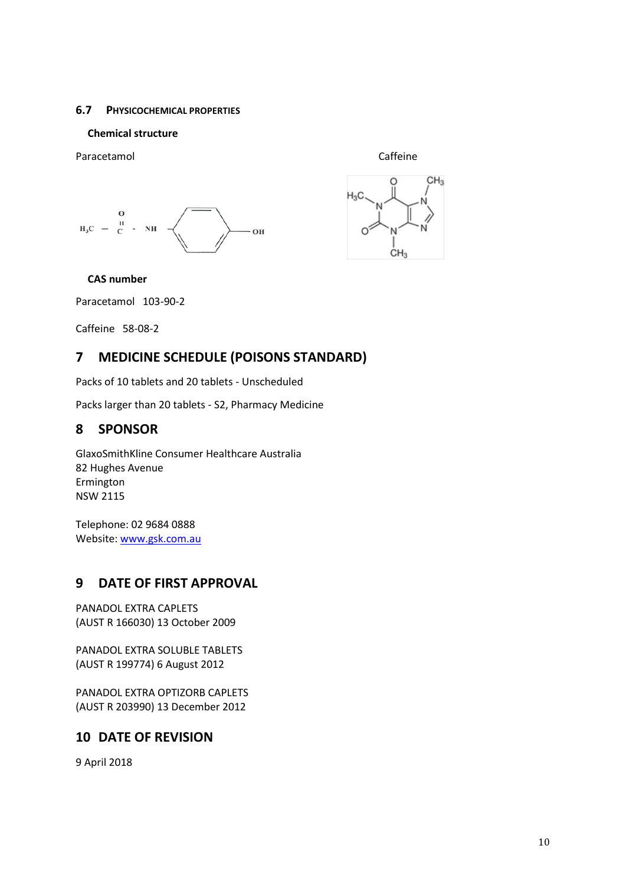### **6.7 PHYSICOCHEMICAL PROPERTIES**

### **Chemical structure**

Paracetamol **Caffeine** 







## **CAS number**

Paracetamol 103-90-2

Caffeine 58-08-2

# **7 MEDICINE SCHEDULE (POISONS STANDARD)**

Packs of 10 tablets and 20 tablets - Unscheduled

Packs larger than 20 tablets - S2, Pharmacy Medicine

# **8 SPONSOR**

GlaxoSmithKline Consumer Healthcare Australia 82 Hughes Avenue Ermington NSW 2115

Telephone: 02 9684 0888 Website[: www.gsk.com.au](http://www.gsk.com.au/)

# **9 DATE OF FIRST APPROVAL**

PANADOL EXTRA CAPLETS (AUST R 166030) 13 October 2009

PANADOL EXTRA SOLUBLE TABLETS (AUST R 199774) 6 August 2012

PANADOL EXTRA OPTIZORB CAPLETS (AUST R 203990) 13 December 2012

## **10 DATE OF REVISION**

9 April 2018